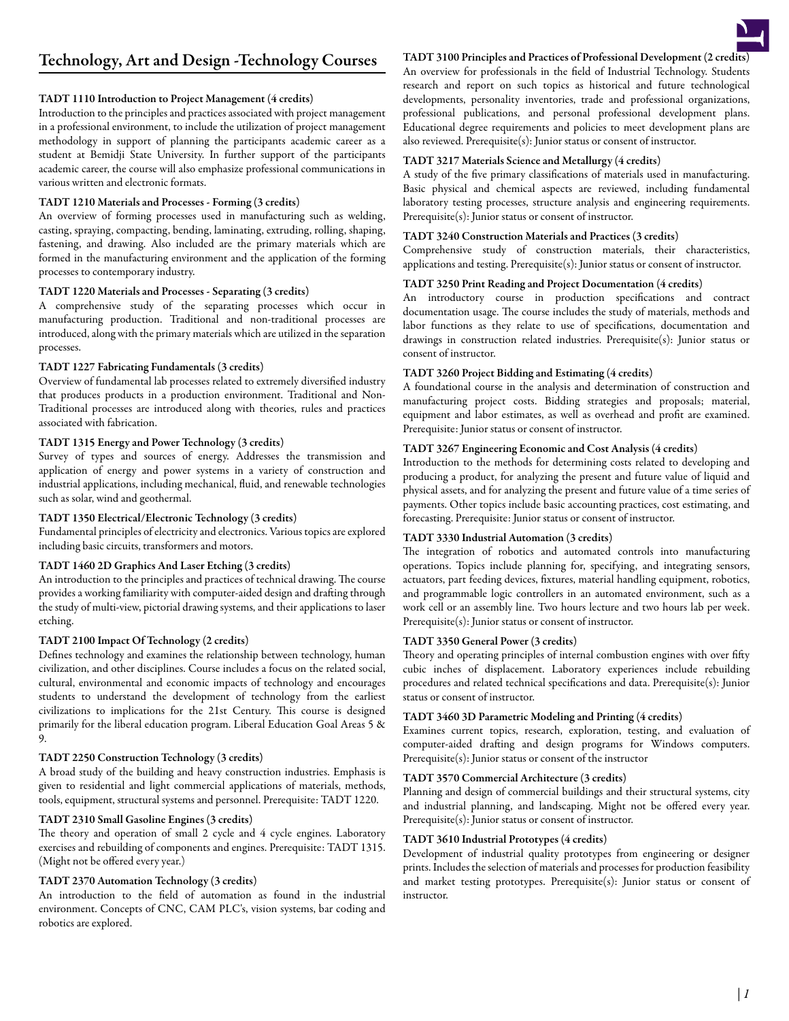# TADT 1110 Introduction to Project Management (4 credits)

Introduction to the principles and practices associated with project management in a professional environment, to include the utilization of project management methodology in support of planning the participants academic career as a student at Bemidji State University. In further support of the participants academic career, the course will also emphasize professional communications in various written and electronic formats.

## TADT 1210 Materials and Processes - Forming (3 credits)

An overview of forming processes used in manufacturing such as welding, casting, spraying, compacting, bending, laminating, extruding, rolling, shaping, fastening, and drawing. Also included are the primary materials which are formed in the manufacturing environment and the application of the forming processes to contemporary industry.

### TADT 1220 Materials and Processes - Separating (3 credits)

A comprehensive study of the separating processes which occur in manufacturing production. Traditional and non-traditional processes are introduced, along with the primary materials which are utilized in the separation processes.

## TADT 1227 Fabricating Fundamentals (3 credits)

Overview of fundamental lab processes related to extremely diversified industry that produces products in a production environment. Traditional and Non-Traditional processes are introduced along with theories, rules and practices associated with fabrication.

## TADT 1315 Energy and Power Technology (3 credits)

Survey of types and sources of energy. Addresses the transmission and application of energy and power systems in a variety of construction and industrial applications, including mechanical, fluid, and renewable technologies such as solar, wind and geothermal.

# TADT 1350 Electrical/Electronic Technology (3 credits)

Fundamental principles of electricity and electronics. Various topics are explored including basic circuits, transformers and motors.

# TADT 1460 2D Graphics And Laser Etching (3 credits)

An introduction to the principles and practices of technical drawing. The course provides a working familiarity with computer-aided design and drafting through the study of multi-view, pictorial drawing systems, and their applications to laser etching.

# TADT 2100 Impact Of Technology (2 credits)

Defines technology and examines the relationship between technology, human civilization, and other disciplines. Course includes a focus on the related social, cultural, environmental and economic impacts of technology and encourages students to understand the development of technology from the earliest civilizations to implications for the 21st Century. This course is designed primarily for the liberal education program. Liberal Education Goal Areas 5 & 9.

# TADT 2250 Construction Technology (3 credits)

A broad study of the building and heavy construction industries. Emphasis is given to residential and light commercial applications of materials, methods, tools, equipment, structural systems and personnel. Prerequisite: TADT 1220.

### TADT 2310 Small Gasoline Engines (3 credits)

The theory and operation of small 2 cycle and 4 cycle engines. Laboratory exercises and rebuilding of components and engines. Prerequisite: TADT 1315. (Might not be offered every year.)

### TADT 2370 Automation Technology (3 credits)

An introduction to the field of automation as found in the industrial environment. Concepts of CNC, CAM PLC's, vision systems, bar coding and robotics are explored.

TADT 3100 Principles and Practices of Professional Development (2 credits) An overview for professionals in the field of Industrial Technology. Students research and report on such topics as historical and future technological developments, personality inventories, trade and professional organizations, professional publications, and personal professional development plans. Educational degree requirements and policies to meet development plans are also reviewed. Prerequisite(s): Junior status or consent of instructor.

# TADT 3217 Materials Science and Metallurgy (4 credits)

A study of the five primary classifications of materials used in manufacturing. Basic physical and chemical aspects are reviewed, including fundamental laboratory testing processes, structure analysis and engineering requirements. Prerequisite(s): Junior status or consent of instructor.

## TADT 3240 Construction Materials and Practices (3 credits)

Comprehensive study of construction materials, their characteristics, applications and testing. Prerequisite(s): Junior status or consent of instructor.

# TADT 3250 Print Reading and Project Documentation (4 credits)

An introductory course in production specifications and contract documentation usage. The course includes the study of materials, methods and labor functions as they relate to use of specifications, documentation and drawings in construction related industries. Prerequisite(s): Junior status or consent of instructor.

## TADT 3260 Project Bidding and Estimating (4 credits)

A foundational course in the analysis and determination of construction and manufacturing project costs. Bidding strategies and proposals; material, equipment and labor estimates, as well as overhead and profit are examined. Prerequisite: Junior status or consent of instructor.

## TADT 3267 Engineering Economic and Cost Analysis (4 credits)

Introduction to the methods for determining costs related to developing and producing a product, for analyzing the present and future value of liquid and physical assets, and for analyzing the present and future value of a time series of payments. Other topics include basic accounting practices, cost estimating, and forecasting. Prerequisite: Junior status or consent of instructor.

# TADT 3330 Industrial Automation (3 credits)

The integration of robotics and automated controls into manufacturing operations. Topics include planning for, specifying, and integrating sensors, actuators, part feeding devices, fixtures, material handling equipment, robotics, and programmable logic controllers in an automated environment, such as a work cell or an assembly line. Two hours lecture and two hours lab per week. Prerequisite(s): Junior status or consent of instructor.

# TADT 3350 General Power (3 credits)

Theory and operating principles of internal combustion engines with over fifty cubic inches of displacement. Laboratory experiences include rebuilding procedures and related technical specifications and data. Prerequisite(s): Junior status or consent of instructor.

### TADT 3460 3D Parametric Modeling and Printing (4 credits)

Examines current topics, research, exploration, testing, and evaluation of computer-aided drafting and design programs for Windows computers. Prerequisite(s): Junior status or consent of the instructor

### TADT 3570 Commercial Architecture (3 credits)

Planning and design of commercial buildings and their structural systems, city and industrial planning, and landscaping. Might not be offered every year. Prerequisite(s): Junior status or consent of instructor.

# TADT 3610 Industrial Prototypes (4 credits)

Development of industrial quality prototypes from engineering or designer prints. Includes the selection of materials and processes for production feasibility and market testing prototypes. Prerequisite(s): Junior status or consent of instructor.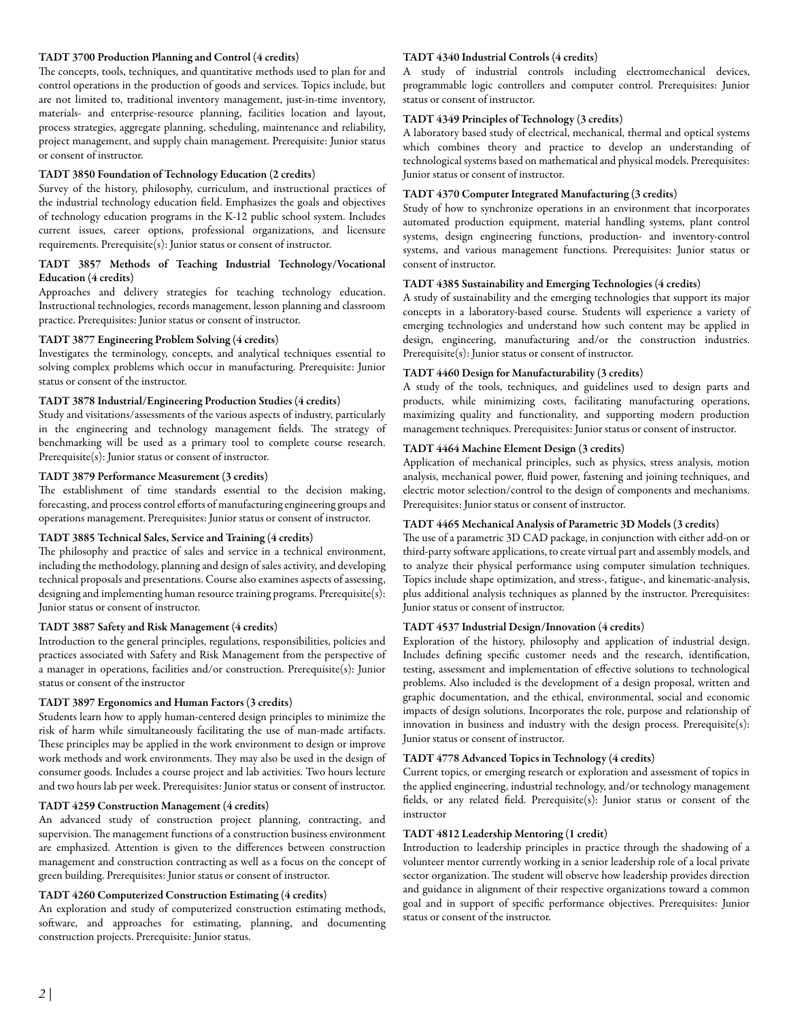## TADT 3700 Production Planning and Control (4 credits)

The concepts, tools, techniques, and quantitative methods used to plan for and control operations in the production of goods and services. Topics include, but are not limited to, traditional inventory management, just-in-time inventory, materials- and enterprise-resource planning, facilities location and layout, process strategies, aggregate planning, scheduling, maintenance and reliability, project management, and supply chain management. Prerequisite: Junior status or consent of instructor.

## TADT 3850 Foundation of Technology Education (2 credits)

Survey of the history, philosophy, curriculum, and instructional practices of the industrial technology education field. Emphasizes the goals and objectives of technology education programs in the K-12 public school system. Includes current issues, career options, professional organizations, and licensure requirements. Prerequisite(s): Junior status or consent of instructor.

## TADT 3857 Methods of Teaching Industrial Technology/Vocational Education (4 credits)

Approaches and delivery strategies for teaching technology education. Instructional technologies, records management, lesson planning and classroom practice. Prerequisites: Junior status or consent of instructor.

### TADT 3877 Engineering Problem Solving (4 credits)

Investigates the terminology, concepts, and analytical techniques essential to solving complex problems which occur in manufacturing. Prerequisite: Junior status or consent of the instructor.

## TADT 3878 Industrial/Engineering Production Studies (4 credits)

Study and visitations/assessments of the various aspects of industry, particularly in the engineering and technology management fields. The strategy of benchmarking will be used as a primary tool to complete course research. Prerequisite(s): Junior status or consent of instructor.

### TADT 3879 Performance Measurement (3 credits)

The establishment of time standards essential to the decision making, forecasting, and process control efforts of manufacturing engineering groups and operations management. Prerequisites: Junior status or consent of instructor.

## TADT 3885 Technical Sales, Service and Training (4 credits)

The philosophy and practice of sales and service in a technical environment, including the methodology, planning and design of sales activity, and developing technical proposals and presentations. Course also examines aspects of assessing, designing and implementing human resource training programs. Prerequisite(s): Junior status or consent of instructor.

### TADT 3887 Safety and Risk Management (4 credits)

Introduction to the general principles, regulations, responsibilities, policies and practices associated with Safety and Risk Management from the perspective of a manager in operations, facilities and/or construction. Prerequisite(s): Junior status or consent of the instructor

## TADT 3897 Ergonomics and Human Factors (3 credits)

Students learn how to apply human-centered design principles to minimize the risk of harm while simultaneously facilitating the use of man-made artifacts. These principles may be applied in the work environment to design or improve work methods and work environments. They may also be used in the design of consumer goods. Includes a course project and lab activities. Two hours lecture and two hours lab per week. Prerequisites: Junior status or consent of instructor.

### TADT 4259 Construction Management (4 credits)

An advanced study of construction project planning, contracting, and supervision. The management functions of a construction business environment are emphasized. Attention is given to the differences between construction management and construction contracting as well as a focus on the concept of green building. Prerequisites: Junior status or consent of instructor.

# TADT 4260 Computerized Construction Estimating (4 credits)

An exploration and study of computerized construction estimating methods, software, and approaches for estimating, planning, and documenting construction projects. Prerequisite: Junior status.

## TADT 4340 Industrial Controls (4 credits)

A study of industrial controls including electromechanical devices, programmable logic controllers and computer control. Prerequisites: Junior status or consent of instructor.

# TADT 4349 Principles of Technology (3 credits)

A laboratory based study of electrical, mechanical, thermal and optical systems which combines theory and practice to develop an understanding of technological systems based on mathematical and physical models. Prerequisites: Junior status or consent of instructor.

### TADT 4370 Computer Integrated Manufacturing (3 credits)

Study of how to synchronize operations in an environment that incorporates automated production equipment, material handling systems, plant control systems, design engineering functions, production- and inventory-control systems, and various management functions. Prerequisites: Junior status or consent of instructor.

# TADT 4385 Sustainability and Emerging Technologies (4 credits)

A study of sustainability and the emerging technologies that support its major concepts in a laboratory-based course. Students will experience a variety of emerging technologies and understand how such content may be applied in design, engineering, manufacturing and/or the construction industries. Prerequisite(s): Junior status or consent of instructor.

## TADT 4460 Design for Manufacturability (3 credits)

A study of the tools, techniques, and guidelines used to design parts and products, while minimizing costs, facilitating manufacturing operations, maximizing quality and functionality, and supporting modern production management techniques. Prerequisites: Junior status or consent of instructor.

## TADT 4464 Machine Element Design (3 credits)

Application of mechanical principles, such as physics, stress analysis, motion analysis, mechanical power, fluid power, fastening and joining techniques, and electric motor selection/control to the design of components and mechanisms. Prerequisites: Junior status or consent of instructor.

### TADT 4465 Mechanical Analysis of Parametric 3D Models (3 credits)

The use of a parametric 3D CAD package, in conjunction with either add-on or third-party software applications, to create virtual part and assembly models, and to analyze their physical performance using computer simulation techniques. Topics include shape optimization, and stress-, fatigue-, and kinematic-analysis, plus additional analysis techniques as planned by the instructor. Prerequisites: Junior status or consent of instructor.

### TADT 4537 Industrial Design/Innovation (4 credits)

Exploration of the history, philosophy and application of industrial design. Includes defining specific customer needs and the research, identification, testing, assessment and implementation of effective solutions to technological problems. Also included is the development of a design proposal, written and graphic documentation, and the ethical, environmental, social and economic impacts of design solutions. Incorporates the role, purpose and relationship of innovation in business and industry with the design process. Prerequisite(s): Junior status or consent of instructor.

### TADT 4778 Advanced Topics in Technology (4 credits)

Current topics, or emerging research or exploration and assessment of topics in the applied engineering, industrial technology, and/or technology management fields, or any related field. Prerequisite(s): Junior status or consent of the instructor

### TADT 4812 Leadership Mentoring (1 credit)

Introduction to leadership principles in practice through the shadowing of a volunteer mentor currently working in a senior leadership role of a local private sector organization. The student will observe how leadership provides direction and guidance in alignment of their respective organizations toward a common goal and in support of specific performance objectives. Prerequisites: Junior status or consent of the instructor.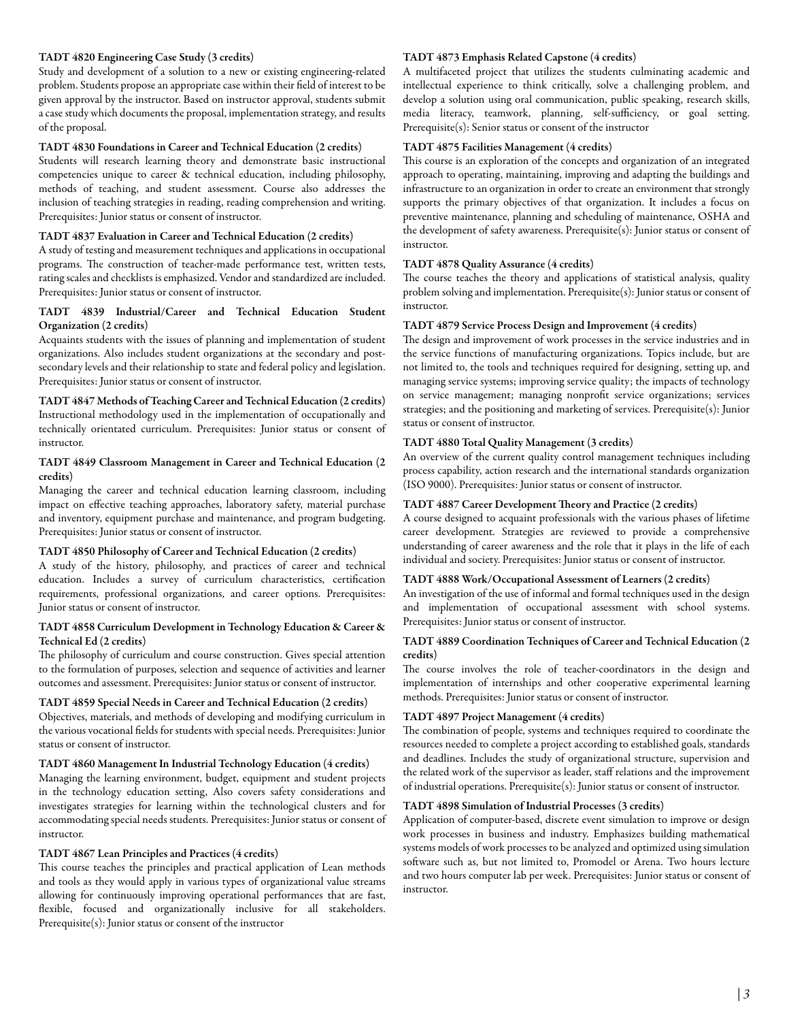## TADT 4820 Engineering Case Study (3 credits)

Study and development of a solution to a new or existing engineering-related problem. Students propose an appropriate case within their field of interest to be given approval by the instructor. Based on instructor approval, students submit a case study which documents the proposal, implementation strategy, and results of the proposal.

### TADT 4830 Foundations in Career and Technical Education (2 credits)

Students will research learning theory and demonstrate basic instructional competencies unique to career & technical education, including philosophy, methods of teaching, and student assessment. Course also addresses the inclusion of teaching strategies in reading, reading comprehension and writing. Prerequisites: Junior status or consent of instructor.

### TADT 4837 Evaluation in Career and Technical Education (2 credits)

A study of testing and measurement techniques and applications in occupational programs. The construction of teacher-made performance test, written tests, rating scales and checklists is emphasized. Vendor and standardized are included. Prerequisites: Junior status or consent of instructor.

# TADT 4839 Industrial/Career and Technical Education Student Organization (2 credits)

Acquaints students with the issues of planning and implementation of student organizations. Also includes student organizations at the secondary and postsecondary levels and their relationship to state and federal policy and legislation. Prerequisites: Junior status or consent of instructor.

TADT 4847 Methods of Teaching Career and Technical Education (2 credits) Instructional methodology used in the implementation of occupationally and technically orientated curriculum. Prerequisites: Junior status or consent of instructor.

## TADT 4849 Classroom Management in Career and Technical Education (2 credits)

Managing the career and technical education learning classroom, including impact on effective teaching approaches, laboratory safety, material purchase and inventory, equipment purchase and maintenance, and program budgeting. Prerequisites: Junior status or consent of instructor.

# TADT 4850 Philosophy of Career and Technical Education (2 credits)

A study of the history, philosophy, and practices of career and technical education. Includes a survey of curriculum characteristics, certification requirements, professional organizations, and career options. Prerequisites: Junior status or consent of instructor.

### TADT 4858 Curriculum Development in Technology Education & Career & Technical Ed (2 credits)

The philosophy of curriculum and course construction. Gives special attention to the formulation of purposes, selection and sequence of activities and learner outcomes and assessment. Prerequisites: Junior status or consent of instructor.

## TADT 4859 Special Needs in Career and Technical Education (2 credits)

Objectives, materials, and methods of developing and modifying curriculum in the various vocational fields for students with special needs. Prerequisites: Junior status or consent of instructor.

## TADT 4860 Management In Industrial Technology Education (4 credits)

Managing the learning environment, budget, equipment and student projects in the technology education setting, Also covers safety considerations and investigates strategies for learning within the technological clusters and for accommodating special needs students. Prerequisites: Junior status or consent of instructor.

#### TADT 4867 Lean Principles and Practices (4 credits)

This course teaches the principles and practical application of Lean methods and tools as they would apply in various types of organizational value streams allowing for continuously improving operational performances that are fast, flexible, focused and organizationally inclusive for all stakeholders. Prerequisite(s): Junior status or consent of the instructor

### TADT 4873 Emphasis Related Capstone (4 credits)

A multifaceted project that utilizes the students culminating academic and intellectual experience to think critically, solve a challenging problem, and develop a solution using oral communication, public speaking, research skills, media literacy, teamwork, planning, self-sufficiency, or goal setting. Prerequisite(s): Senior status or consent of the instructor

## TADT 4875 Facilities Management (4 credits)

This course is an exploration of the concepts and organization of an integrated approach to operating, maintaining, improving and adapting the buildings and infrastructure to an organization in order to create an environment that strongly supports the primary objectives of that organization. It includes a focus on preventive maintenance, planning and scheduling of maintenance, OSHA and the development of safety awareness. Prerequisite(s): Junior status or consent of instructor.

#### TADT 4878 Quality Assurance (4 credits)

The course teaches the theory and applications of statistical analysis, quality problem solving and implementation. Prerequisite(s): Junior status or consent of instructor.

### TADT 4879 Service Process Design and Improvement (4 credits)

The design and improvement of work processes in the service industries and in the service functions of manufacturing organizations. Topics include, but are not limited to, the tools and techniques required for designing, setting up, and managing service systems; improving service quality; the impacts of technology on service management; managing nonprofit service organizations; services strategies; and the positioning and marketing of services. Prerequisite(s): Junior status or consent of instructor.

### TADT 4880 Total Quality Management (3 credits)

An overview of the current quality control management techniques including process capability, action research and the international standards organization (ISO 9000). Prerequisites: Junior status or consent of instructor.

## TADT 4887 Career Development Theory and Practice (2 credits)

A course designed to acquaint professionals with the various phases of lifetime career development. Strategies are reviewed to provide a comprehensive understanding of career awareness and the role that it plays in the life of each individual and society. Prerequisites: Junior status or consent of instructor.

#### TADT 4888 Work/Occupational Assessment of Learners (2 credits)

An investigation of the use of informal and formal techniques used in the design and implementation of occupational assessment with school systems. Prerequisites: Junior status or consent of instructor.

### TADT 4889 Coordination Techniques of Career and Technical Education (2 credits)

The course involves the role of teacher-coordinators in the design and implementation of internships and other cooperative experimental learning methods. Prerequisites: Junior status or consent of instructor.

### TADT 4897 Project Management (4 credits)

The combination of people, systems and techniques required to coordinate the resources needed to complete a project according to established goals, standards and deadlines. Includes the study of organizational structure, supervision and the related work of the supervisor as leader, staff relations and the improvement of industrial operations. Prerequisite(s): Junior status or consent of instructor.

#### TADT 4898 Simulation of Industrial Processes (3 credits)

Application of computer-based, discrete event simulation to improve or design work processes in business and industry. Emphasizes building mathematical systems models of work processes to be analyzed and optimized using simulation software such as, but not limited to, Promodel or Arena. Two hours lecture and two hours computer lab per week. Prerequisites: Junior status or consent of instructor.